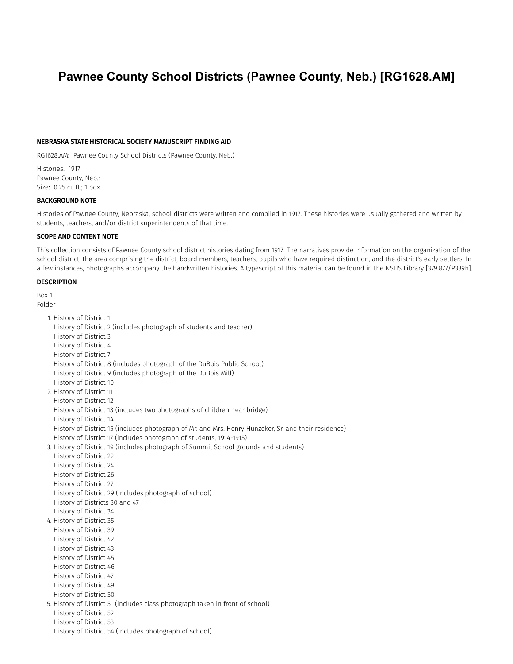# Pawnee County School Districts (Pawnee County, Neb.) [RG1628.AM]

#### NEBRASKA STATE HISTORICAL SOCIETY MANUSCRIPT FINDING AID

RG1628.AM: Pawnee County School Districts (Pawnee County, Neb.)

Histories: 1917 Pawnee County, Neb.: Size: 0.25 cu.ft.; 1 box

#### BACKGROUND NOTE

Histories of Pawnee County, Nebraska, school districts were written and compiled in 1917. These histories were usually gathered and written by students, teachers, and/or district superintendents of that time.

## SCOPE AND CONTENT NOTE

This collection consists of Pawnee County school district histories dating from 1917. The narratives provide information on the organization of the school district, the area comprising the district, board members, teachers, pupils who have required distinction, and the district's early settlers. In a few instances, photographs accompany the handwritten histories. A typescript of this material can be found in the NSHS Library [379.877/P339h].

## **DESCRIPTION**

Box 1

Folder 1. History of District 1 History of District 2 (includes photograph of students and teacher) History of District 3 History of District 4 History of District 7 History of District 8 (includes photograph of the DuBois Public School) History of District 9 (includes photograph of the DuBois Mill) History of District 10 2. History of District 11 History of District 12 History of District 13 (includes two photographs of children near bridge) History of District 14 History of District 15 (includes photograph of Mr. and Mrs. Henry Hunzeker, Sr. and their residence) History of District 17 (includes photograph of students, 1914-1915) 3. History of District 19 (includes photograph of Summit School grounds and students) History of District 22 History of District 24 History of District 26 History of District 27 History of District 29 (includes photograph of school) History of Districts 30 and 47 History of District 34 4. History of District 35 History of District 39 History of District 42 History of District 43 History of District 45 History of District 46 History of District 47 History of District 49 History of District 50 5. History of District 51 (includes class photograph taken in front of school) History of District 52 History of District 53 History of District 54 (includes photograph of school)